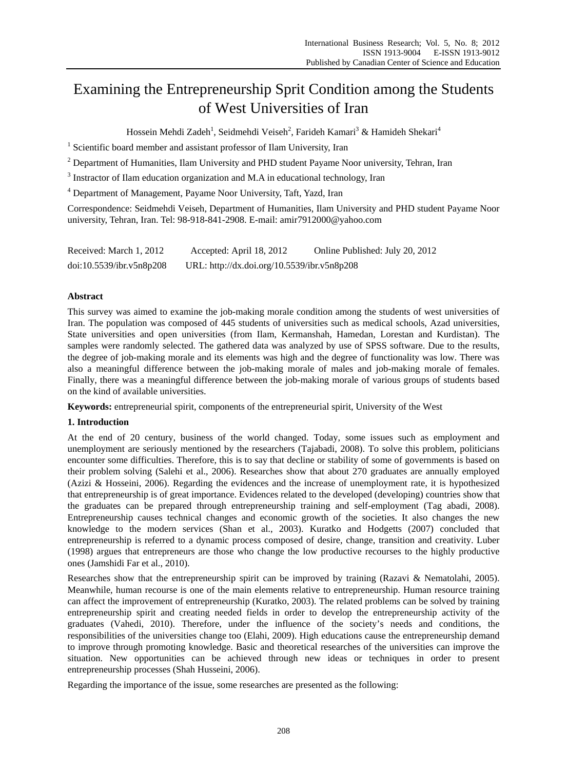# Examining the Entrepreneurship Sprit Condition among the Students of West Universities of Iran

Hossein Mehdi Zadeh<sup>1</sup>, Seidmehdi Veiseh<sup>2</sup>, Farideh Kamari<sup>3</sup> & Hamideh Shekari<sup>4</sup>

<sup>1</sup> Scientific board member and assistant professor of Ilam University, Iran

 $2^{2}$  Department of Humanities, Ilam University and PHD student Payame Noor university, Tehran, Iran

 $3$  Instractor of Ilam education organization and M.A in educational technology, Iran

<sup>4</sup> Department of Management, Payame Noor University, Taft, Yazd, Iran

Correspondence: Seidmehdi Veiseh, Department of Humanities, Ilam University and PHD student Payame Noor university, Tehran, Iran. Tel: 98-918-841-2908. E-mail: amir7912000@yahoo.com

| Received: March 1, 2012  | Accepted: April 18, 2012                    | Online Published: July 20, 2012 |
|--------------------------|---------------------------------------------|---------------------------------|
| doi:10.5539/ibr.v5n8p208 | URL: http://dx.doi.org/10.5539/ibr.v5n8p208 |                                 |

# **Abstract**

This survey was aimed to examine the job-making morale condition among the students of west universities of Iran. The population was composed of 445 students of universities such as medical schools, Azad universities, State universities and open universities (from Ilam, Kermanshah, Hamedan, Lorestan and Kurdistan). The samples were randomly selected. The gathered data was analyzed by use of SPSS software. Due to the results, the degree of job-making morale and its elements was high and the degree of functionality was low. There was also a meaningful difference between the job-making morale of males and job-making morale of females. Finally, there was a meaningful difference between the job-making morale of various groups of students based on the kind of available universities.

**Keywords:** entrepreneurial spirit, components of the entrepreneurial spirit, University of the West

# **1. Introduction**

At the end of 20 century, business of the world changed. Today, some issues such as employment and unemployment are seriously mentioned by the researchers (Tajabadi, 2008). To solve this problem, politicians encounter some difficulties. Therefore, this is to say that decline or stability of some of governments is based on their problem solving (Salehi et al., 2006). Researches show that about 270 graduates are annually employed (Azizi & Hosseini, 2006). Regarding the evidences and the increase of unemployment rate, it is hypothesized that entrepreneurship is of great importance. Evidences related to the developed (developing) countries show that the graduates can be prepared through entrepreneurship training and self-employment (Tag abadi, 2008). Entrepreneurship causes technical changes and economic growth of the societies. It also changes the new knowledge to the modern services (Shan et al., 2003). Kuratko and Hodgetts (2007) concluded that entrepreneurship is referred to a dynamic process composed of desire, change, transition and creativity. Luber (1998) argues that entrepreneurs are those who change the low productive recourses to the highly productive ones (Jamshidi Far et al., 2010).

Researches show that the entrepreneurship spirit can be improved by training (Razavi & Nematolahi, 2005). Meanwhile, human recourse is one of the main elements relative to entrepreneurship. Human resource training can affect the improvement of entrepreneurship (Kuratko, 2003). The related problems can be solved by training entrepreneurship spirit and creating needed fields in order to develop the entrepreneurship activity of the graduates (Vahedi, 2010). Therefore, under the influence of the society's needs and conditions, the responsibilities of the universities change too (Elahi, 2009). High educations cause the entrepreneurship demand to improve through promoting knowledge. Basic and theoretical researches of the universities can improve the situation. New opportunities can be achieved through new ideas or techniques in order to present entrepreneurship processes (Shah Husseini, 2006).

Regarding the importance of the issue, some researches are presented as the following: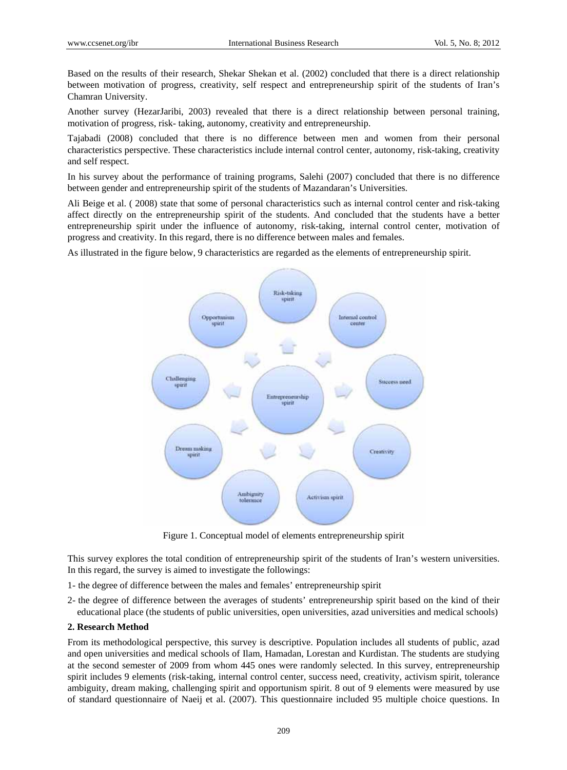Based on the results of their research, Shekar Shekan et al. (2002) concluded that there is a direct relationship between motivation of progress, creativity, self respect and entrepreneurship spirit of the students of Iran's Chamran University.

Another survey (HezarJaribi, 2003) revealed that there is a direct relationship between personal training, motivation of progress, risk- taking, autonomy, creativity and entrepreneurship.

Tajabadi (2008) concluded that there is no difference between men and women from their personal characteristics perspective. These characteristics include internal control center, autonomy, risk-taking, creativity and self respect.

In his survey about the performance of training programs, Salehi (2007) concluded that there is no difference between gender and entrepreneurship spirit of the students of Mazandaran's Universities.

Ali Beige et al. ( 2008) state that some of personal characteristics such as internal control center and risk-taking affect directly on the entrepreneurship spirit of the students. And concluded that the students have a better entrepreneurship spirit under the influence of autonomy, risk-taking, internal control center, motivation of progress and creativity. In this regard, there is no difference between males and females.

As illustrated in the figure below, 9 characteristics are regarded as the elements of entrepreneurship spirit.



Figure 1. Conceptual model of elements entrepreneurship spirit

This survey explores the total condition of entrepreneurship spirit of the students of Iran's western universities. In this regard, the survey is aimed to investigate the followings:

1- the degree of difference between the males and females' entrepreneurship spirit

2- the degree of difference between the averages of students' entrepreneurship spirit based on the kind of their educational place (the students of public universities, open universities, azad universities and medical schools)

#### **2. Research Method**

From its methodological perspective, this survey is descriptive. Population includes all students of public, azad and open universities and medical schools of Ilam, Hamadan, Lorestan and Kurdistan. The students are studying at the second semester of 2009 from whom 445 ones were randomly selected. In this survey, entrepreneurship spirit includes 9 elements (risk-taking, internal control center, success need, creativity, activism spirit, tolerance ambiguity, dream making, challenging spirit and opportunism spirit. 8 out of 9 elements were measured by use of standard questionnaire of Naeij et al. (2007). This questionnaire included 95 multiple choice questions. In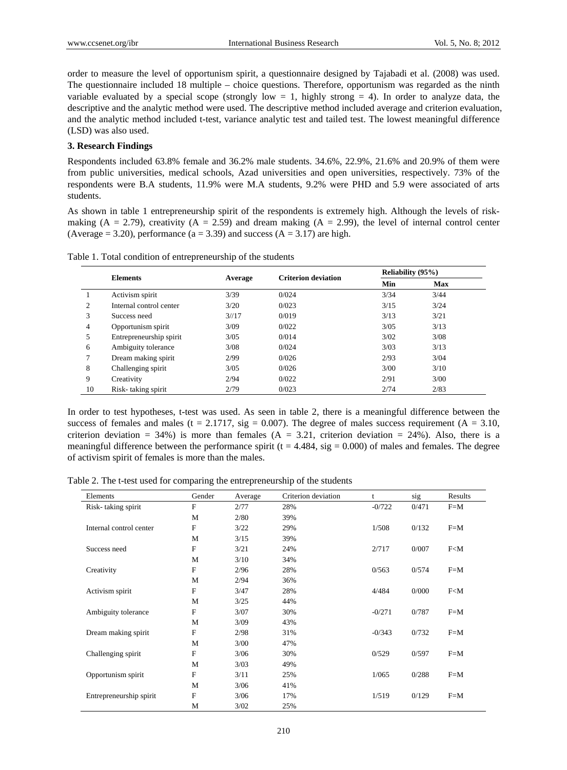order to measure the level of opportunism spirit, a questionnaire designed by Tajabadi et al. (2008) was used. The questionnaire included 18 multiple – choice questions. Therefore, opportunism was regarded as the ninth variable evaluated by a special scope (strongly low  $= 1$ , highly strong  $= 4$ ). In order to analyze data, the descriptive and the analytic method were used. The descriptive method included average and criterion evaluation, and the analytic method included t-test, variance analytic test and tailed test. The lowest meaningful difference (LSD) was also used.

## **3. Research Findings**

Respondents included 63.8% female and 36.2% male students. 34.6%, 22.9%, 21.6% and 20.9% of them were from public universities, medical schools, Azad universities and open universities, respectively. 73% of the respondents were B.A students, 11.9% were M.A students, 9.2% were PHD and 5.9 were associated of arts students.

As shown in table 1 entrepreneurship spirit of the respondents is extremely high. Although the levels of riskmaking (A = 2.79), creativity (A = 2.59) and dream making (A = 2.99), the level of internal control center (Average = 3.20), performance ( $a = 3.39$ ) and success ( $A = 3.17$ ) are high.

|    |                         |         |                            | <b>Reliability (95%)</b> |            |  |
|----|-------------------------|---------|----------------------------|--------------------------|------------|--|
|    | <b>Elements</b>         | Average | <b>Criterion deviation</b> | Min                      | <b>Max</b> |  |
|    | Activism spirit         | 3/39    | 0/024                      | 3/34                     | 3/44       |  |
| 2  | Internal control center | 3/20    | 0/023                      | 3/15                     | 3/24       |  |
| 3  | Success need            | 3/17    | 0/019                      | 3/13                     | 3/21       |  |
| 4  | Opportunism spirit      | 3/09    | 0/022                      | 3/05                     | 3/13       |  |
| 5  | Entrepreneurship spirit | 3/05    | 0/014                      | 3/02                     | 3/08       |  |
| 6  | Ambiguity tolerance     | 3/08    | 0/024                      | 3/03                     | 3/13       |  |
|    | Dream making spirit     | 2/99    | 0/026                      | 2/93                     | 3/04       |  |
| 8  | Challenging spirit      | 3/05    | 0/026                      | 3/00                     | 3/10       |  |
| 9  | Creativity              | 2/94    | 0/022                      | 2/91                     | 3/00       |  |
| 10 | Risk-taking spirit      | 2/79    | 0/023                      | 2/74                     | 2/83       |  |

Table 1. Total condition of entrepreneurship of the students

In order to test hypotheses, t-test was used. As seen in table 2, there is a meaningful difference between the success of females and males (t = 2.1717, sig = 0.007). The degree of males success requirement (A = 3.10, criterion deviation = 34%) is more than females ( $A = 3.21$ , criterion deviation = 24%). Also, there is a meaningful difference between the performance spirit ( $t = 4.484$ , sig = 0.000) of males and females. The degree of activism spirit of females is more than the males.

Table 2. The t-test used for comparing the entrepreneurship of the students

| Elements                | Gender | Average | Criterion deviation | t        | sig   | Results |
|-------------------------|--------|---------|---------------------|----------|-------|---------|
| Risk-taking spirit      | F      | 2/77    | 28%                 | $-0/722$ | 0/471 | $F=M$   |
|                         | М      | 2/80    | 39%                 |          |       |         |
| Internal control center | F      | 3/22    | 29%                 | 1/508    | 0/132 | $F=M$   |
|                         | М      | 3/15    | 39%                 |          |       |         |
| Success need            | F      | 3/21    | 24%                 | 2/717    | 0/007 | F< M    |
|                         | M      | 3/10    | 34%                 |          |       |         |
| Creativity              | F      | 2/96    | 28%                 | 0/563    | 0/574 | $F=M$   |
|                         | M      | 2/94    | 36%                 |          |       |         |
| Activism spirit         | F      | 3/47    | 28%                 | 4/484    | 0/000 | F < M   |
|                         | M      | 3/25    | 44%                 |          |       |         |
| Ambiguity tolerance     | F      | 3/07    | 30%                 | $-0/271$ | 0/787 | $F=M$   |
|                         | M      | 3/09    | 43%                 |          |       |         |
| Dream making spirit     | F      | 2/98    | 31%                 | $-0/343$ | 0/732 | $F=M$   |
|                         | M      | 3/00    | 47%                 |          |       |         |
| Challenging spirit      | F      | 3/06    | 30%                 | 0/529    | 0/597 | $F=M$   |
|                         | M      | 3/03    | 49%                 |          |       |         |
| Opportunism spirit      | F      | 3/11    | 25%                 | 1/065    | 0/288 | $F=M$   |
|                         | M      | 3/06    | 41%                 |          |       |         |
| Entrepreneurship spirit | F      | 3/06    | 17%                 | 1/519    | 0/129 | $F=M$   |
|                         | M      | 3/02    | 25%                 |          |       |         |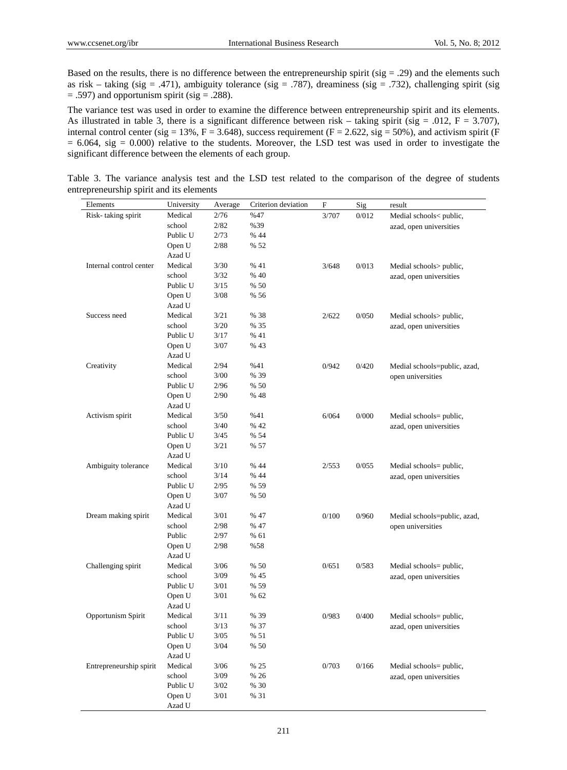Based on the results, there is no difference between the entrepreneurship spirit (sig  $=$  .29) and the elements such as risk – taking (sig = .471), ambiguity tolerance (sig = .787), dreaminess (sig = .732), challenging spirit (sig  $=$  .597) and opportunism spirit (sig  $=$  .288).

The variance test was used in order to examine the difference between entrepreneurship spirit and its elements. As illustrated in table 3, there is a significant difference between risk – taking spirit (sig = .012, F = 3.707), internal control center (sig = 13%, F = 3.648), success requirement (F = 2.622, sig = 50%), and activism spirit (F  $= 6.064$ , sig  $= 0.000$ ) relative to the students. Moreover, the LSD test was used in order to investigate the significant difference between the elements of each group.

| Elements                | University | Average | Criterion deviation | $\boldsymbol{\mathrm{F}}$ | Sig   | result                       |
|-------------------------|------------|---------|---------------------|---------------------------|-------|------------------------------|
| Risk-taking spirit      | Medical    | 2/76    | %47                 | 3/707                     | 0/012 | Medial schools< public,      |
|                         | school     | 2/82    | %39                 |                           |       | azad, open universities      |
|                         | Public U   | 2/73    | % 44                |                           |       |                              |
|                         | Open U     | 2/88    | % 52                |                           |       |                              |
|                         | Azad U     |         |                     |                           |       |                              |
| Internal control center | Medical    | 3/30    | % 41                | 3/648                     | 0/013 | Medial schools> public,      |
|                         | school     | 3/32    | % 40                |                           |       | azad, open universities      |
|                         | Public U   | 3/15    | % 50                |                           |       |                              |
|                         | Open U     | $3/08$  | % 56                |                           |       |                              |
|                         | Azad U     |         |                     |                           |       |                              |
| Success need            | Medical    | 3/21    | % 38                | 2/622                     | 0/050 | Medial schools> public,      |
|                         | school     | $3/20$  | % 35                |                           |       | azad, open universities      |
|                         | Public U   | 3/17    | % 41                |                           |       |                              |
|                         | Open U     | 3/07    | % 43                |                           |       |                              |
|                         | Azad U     |         |                     |                           |       |                              |
| Creativity              | Medical    | 2/94    | %41                 | 0/942                     | 0/420 | Medial schools=public, azad, |
|                         | school     | $3/00$  | % 39                |                           |       | open universities            |
|                         | Public U   | 2/96    | % 50                |                           |       |                              |
|                         | Open U     | 2/90    | % 48                |                           |       |                              |
|                         | Azad U     |         |                     |                           |       |                              |
| Activism spirit         | Medical    | 3/50    | %41                 | 6/064                     | 0/000 | Medial schools= public,      |
|                         | school     | 3/40    | % 42                |                           |       | azad, open universities      |
|                         | Public U   | 3/45    | % 54                |                           |       |                              |
|                         | Open U     | 3/21    | % 57                |                           |       |                              |
|                         | Azad U     |         |                     |                           |       |                              |
| Ambiguity tolerance     | Medical    | 3/10    | % 44                | 2/553                     | 0/055 | Medial schools= public,      |
|                         | school     | 3/14    | % 44                |                           |       | azad, open universities      |
|                         | Public U   | 2/95    | % 59                |                           |       |                              |
|                         | Open U     | 3/07    | % 50                |                           |       |                              |
|                         | Azad U     |         |                     |                           |       |                              |
| Dream making spirit     | Medical    | 3/01    | % 47                | 0/100                     | 0/960 | Medial schools=public, azad, |
|                         | school     | 2/98    | % 47                |                           |       | open universities            |
|                         | Public     | 2/97    | % 61                |                           |       |                              |
|                         | Open U     | 2/98    | %58                 |                           |       |                              |
|                         | Azad U     |         |                     |                           |       |                              |
| Challenging spirit      | Medical    | 3/06    | % 50                | 0/651                     | 0/583 | Medial schools= public,      |
|                         | school     | 3/09    | % 45                |                           |       | azad, open universities      |
|                         | Public U   | 3/01    | % 59                |                           |       |                              |
|                         | Open U     | 3/01    | % 62                |                           |       |                              |
|                         | Azad U     |         |                     |                           |       |                              |
| Opportunism Spirit      | Medical    | 3/11    | % 39                | 0/983                     | 0/400 | Medial schools= public,      |
|                         | school     | 3/13    | % 37                |                           |       | azad, open universities      |
|                         | Public U   | 3/05    | % 51                |                           |       |                              |
|                         | Open U     | $3/04$  | % 50                |                           |       |                              |
|                         | Azad U     |         |                     |                           |       |                              |
| Entrepreneurship spirit | Medical    | 3/06    | % 25                | 0/703                     | 0/166 | Medial schools= public,      |
|                         | school     | $3/09$  | % 26                |                           |       | azad, open universities      |
|                         | Public U   | $3/02$  | % 30                |                           |       |                              |
|                         | Open U     | 3/01    | % 31                |                           |       |                              |
|                         | Azad U     |         |                     |                           |       |                              |

Table 3. The variance analysis test and the LSD test related to the comparison of the degree of students entrepreneurship spirit and its elements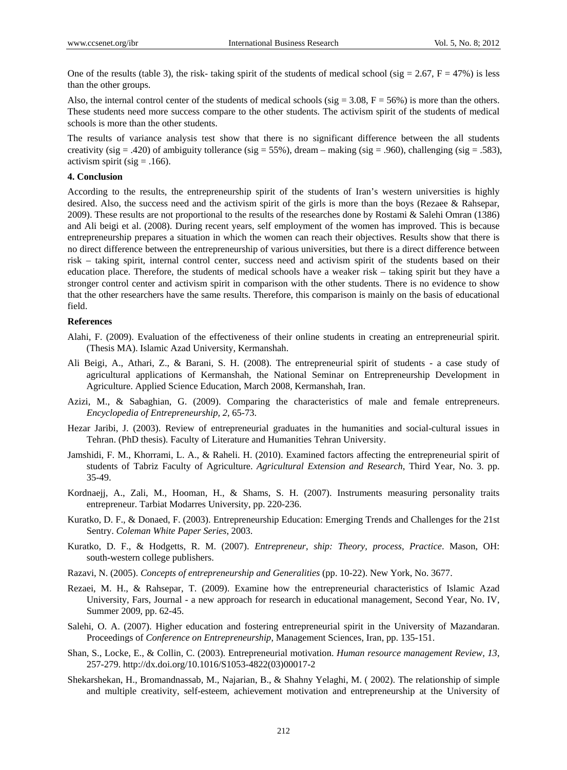One of the results (table 3), the risk- taking spirit of the students of medical school (sig  $= 2.67$ ,  $F = 47\%$ ) is less than the other groups.

Also, the internal control center of the students of medical schools (sig =  $3.08$ , F =  $56\%$ ) is more than the others. These students need more success compare to the other students. The activism spirit of the students of medical schools is more than the other students.

The results of variance analysis test show that there is no significant difference between the all students creativity (sig = .420) of ambiguity tollerance (sig = 55%), dream – making (sig = .960), challenging (sig = .583), activism spirit (sig  $= .166$ ).

### **4. Conclusion**

According to the results, the entrepreneurship spirit of the students of Iran's western universities is highly desired. Also, the success need and the activism spirit of the girls is more than the boys (Rezaee & Rahsepar, 2009). These results are not proportional to the results of the researches done by Rostami & Salehi Omran (1386) and Ali beigi et al. (2008). During recent years, self employment of the women has improved. This is because entrepreneurship prepares a situation in which the women can reach their objectives. Results show that there is no direct difference between the entrepreneurship of various universities, but there is a direct difference between risk – taking spirit, internal control center, success need and activism spirit of the students based on their education place. Therefore, the students of medical schools have a weaker risk – taking spirit but they have a stronger control center and activism spirit in comparison with the other students. There is no evidence to show that the other researchers have the same results. Therefore, this comparison is mainly on the basis of educational field.

## **References**

- Alahi, F. (2009). Evaluation of the effectiveness of their online students in creating an entrepreneurial spirit. (Thesis MA). Islamic Azad University, Kermanshah.
- Ali Beigi, A., Athari, Z., & Barani, S. H. (2008). The entrepreneurial spirit of students a case study of agricultural applications of Kermanshah, the National Seminar on Entrepreneurship Development in Agriculture. Applied Science Education, March 2008, Kermanshah, Iran.
- Azizi, M., & Sabaghian, G. (2009). Comparing the characteristics of male and female entrepreneurs. *Encyclopedia of Entrepreneurship, 2*, 65-73.
- Hezar Jaribi, J. (2003). Review of entrepreneurial graduates in the humanities and social-cultural issues in Tehran. (PhD thesis). Faculty of Literature and Humanities Tehran University.
- Jamshidi, F. M., Khorrami, L. A., & Raheli. H. (2010). Examined factors affecting the entrepreneurial spirit of students of Tabriz Faculty of Agriculture. *Agricultural Extension and Research*, Third Year, No. 3. pp. 35-49.
- Kordnaejj, A., Zali, M., Hooman, H., & Shams, S. H. (2007). Instruments measuring personality traits entrepreneur. Tarbiat Modarres University, pp. 220-236.
- Kuratko, D. F., & Donaed, F. (2003). Entrepreneurship Education: Emerging Trends and Challenges for the 21st Sentry. *Coleman White Paper Series*, 2003.
- Kuratko, D. F., & Hodgetts, R. M. (2007). *Entrepreneur, ship: Theory, process, Practice*. Mason, OH: south-western college publishers.
- Razavi, N. (2005). *Concepts of entrepreneurship and Generalities* (pp. 10-22). New York, No. 3677.
- Rezaei, M. H., & Rahsepar, T. (2009). Examine how the entrepreneurial characteristics of Islamic Azad University, Fars, Journal - a new approach for research in educational management, Second Year, No. IV, Summer 2009, pp. 62-45.
- Salehi, O. A. (2007). Higher education and fostering entrepreneurial spirit in the University of Mazandaran. Proceedings of *Conference on Entrepreneurship*, Management Sciences, Iran, pp. 135-151.
- Shan, S., Locke, E., & Collin, C. (2003). Entrepreneurial motivation. *Human resource management Review, 13*, 257-279. http://dx.doi.org/10.1016/S1053-4822(03)00017-2
- Shekarshekan, H., Bromandnassab, M., Najarian, B., & Shahny Yelaghi, M. ( 2002). The relationship of simple and multiple creativity, self-esteem, achievement motivation and entrepreneurship at the University of